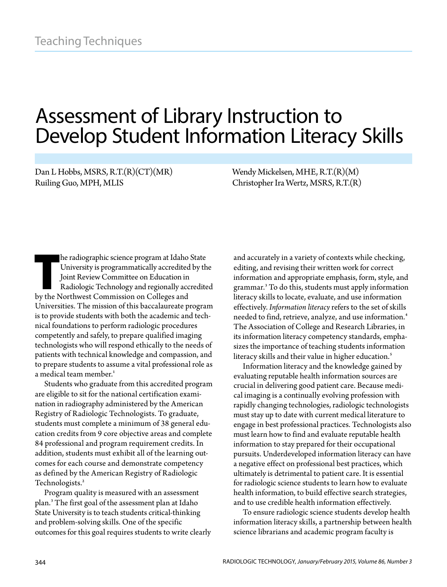# Assessment of Library Instruction to Develop Student Information Literacy Skills

Dan L Hobbs, MSRS, R.T.(R)(CT)(MR) Ruiling Guo, MPH, MLIS

Wendy Mickelsen, MHE, R.T.(R)(M) Christopher Ira Wertz, MSRS, R.T.(R)

he radiographic science program at Idaho<br>University is programmatically accredited<br>Joint Review Committee on Education in<br>Radiologic Technology and regionally acc<br>by the Northwest Commission on Colleges and he radiographic science program at Idaho State University is programmatically accredited by the Joint Review Committee on Education in Radiologic Technology and regionally accredited Universities. The mission of this baccalaureate program is to provide students with both the academic and technical foundations to perform radiologic procedures competently and safely, to prepare qualified imaging technologists who will respond ethically to the needs of patients with technical knowledge and compassion, and to prepare students to assume a vital professional role as a medical team member.<sup>1</sup>

Students who graduate from this accredited program are eligible to sit for the national certification examination in radiography administered by the American Registry of Radiologic Technologists. To graduate, students must complete a minimum of 38 general education credits from 9 core objective areas and complete 84 professional and program requirement credits. In addition, students must exhibit all of the learning outcomes for each course and demonstrate competency as defined by the American Registry of Radiologic Technologists.<sup>2</sup>

Program quality is measured with an assessment plan.<sup>3</sup> The first goal of the assessment plan at Idaho State University is to teach students critical-thinking and problem-solving skills. One of the specific outcomes for this goal requires students to write clearly and accurately in a variety of contexts while checking, editing, and revising their written work for correct information and appropriate emphasis, form, style, and grammar.<sup>3</sup> To do this, students must apply information literacy skills to locate, evaluate, and use information effectively. *Information literacy* refers to the set of skills needed to find, retrieve, analyze, and use information.<sup>4</sup> The Association of College and Research Libraries, in its information literacy competency standards, emphasizes the importance of teaching students information literacy skills and their value in higher education.<sup>5</sup>

Information literacy and the knowledge gained by evaluating reputable health information sources are crucial in delivering good patient care. Because medical imaging is a continually evolving profession with rapidly changing technologies, radiologic technologists must stay up to date with current medical literature to engage in best professional practices. Technologists also must learn how to find and evaluate reputable health information to stay prepared for their occupational pursuits. Underdeveloped information literacy can have a negative effect on professional best practices, which ultimately is detrimental to patient care. It is essential for radiologic science students to learn how to evaluate health information, to build effective search strategies, and to use credible health information effectively.

To ensure radiologic science students develop health information literacy skills, a partnership between health science librarians and academic program faculty is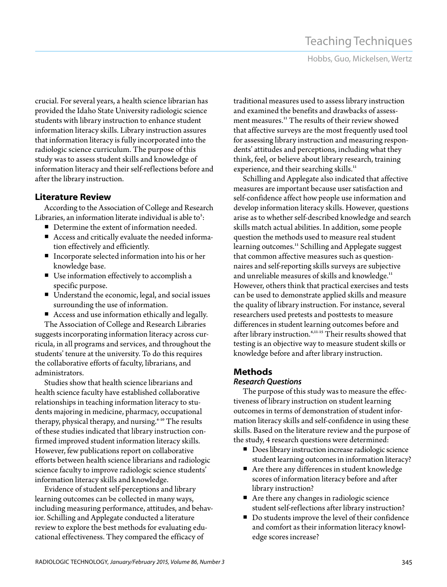Hobbs, Guo, Mickelsen, Wertz

crucial. For several years, a health science librarian has provided the Idaho State University radiologic science students with library instruction to enhance student information literacy skills. Library instruction assures that information literacy is fully incorporated into the radiologic science curriculum. The purpose of this study was to assess student skills and knowledge of information literacy and their self-reflections before and after the library instruction.

# **Literature Review**

According to the Association of College and Research Libraries, an information literate individual is able to $\mathfrak{h}:$ 

- Determine the extent of information needed.
- Access and critically evaluate the needed information effectively and efficiently.
- Incorporate selected information into his or her knowledge base.
- Use information effectively to accomplish a specific purpose.
- Understand the economic, legal, and social issues surrounding the use of information.
- Access and use information ethically and legally.

The Association of College and Research Libraries suggests incorporating information literacy across curricula, in all programs and services, and throughout the students' tenure at the university. To do this requires the collaborative efforts of faculty, librarians, and administrators.

Studies show that health science librarians and health science faculty have established collaborative relationships in teaching information literacy to students majoring in medicine, pharmacy, occupational therapy, physical therapy, and nursing. $6-10$  The results of these studies indicated that library instruction confirmed improved student information literacy skills. However, few publications report on collaborative efforts between health science librarians and radiologic science faculty to improve radiologic science students' information literacy skills and knowledge.

Evidence of student self-perceptions and library learning outcomes can be collected in many ways, including measuring performance, attitudes, and behavior. Schilling and Applegate conducted a literature review to explore the best methods for evaluating educational effectiveness. They compared the efficacy of

traditional measures used to assess library instruction and examined the benefits and drawbacks of assessment measures.<sup>11</sup> The results of their review showed that affective surveys are the most frequently used tool for assessing library instruction and measuring respondents' attitudes and perceptions, including what they think, feel, or believe about library research, training experience, and their searching skills.<sup>11</sup>

Schilling and Applegate also indicated that affective measures are important because user satisfaction and self-confidence affect how people use information and develop information literacy skills. However, questions arise as to whether self-described knowledge and search skills match actual abilities. In addition, some people question the methods used to measure real student learning outcomes.<sup>11</sup> Schilling and Applegate suggest that common affective measures such as questionnaires and self-reporting skills surveys are subjective and unreliable measures of skills and knowledge.<sup>11</sup> However, others think that practical exercises and tests can be used to demonstrate applied skills and measure the quality of library instruction. For instance, several researchers used pretests and posttests to measure differences in student learning outcomes before and after library instruction.<sup>6,11-15</sup> Their results showed that testing is an objective way to measure student skills or knowledge before and after library instruction.

# **Methods**

### *Research Questions*

The purpose of this study was to measure the effectiveness of library instruction on student learning outcomes in terms of demonstration of student information literacy skills and self-confidence in using these skills. Based on the literature review and the purpose of the study, 4 research questions were determined:

- **Does library instruction increase radiologic science** student learning outcomes in information literacy?
- Are there any differences in student knowledge scores of information literacy before and after library instruction?
- Are there any changes in radiologic science student self-reflections after library instruction?
- Do students improve the level of their confidence and comfort as their information literacy knowledge scores increase?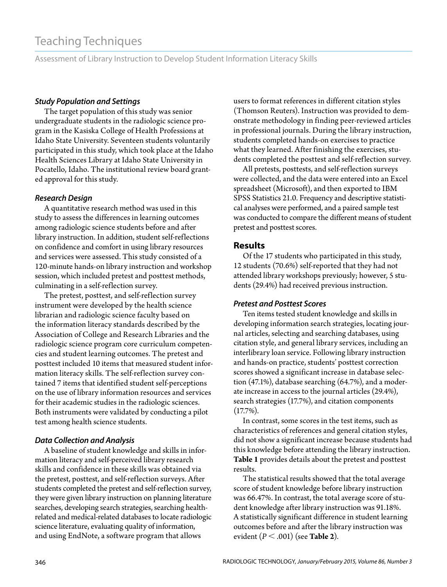# Teaching Techniques

Assessment of Library Instruction to Develop Student Information Literacy Skills

#### *Study Population and Settings*

The target population of this study was senior undergraduate students in the radiologic science program in the Kasiska College of Health Professions at Idaho State University. Seventeen students voluntarily participated in this study, which took place at the Idaho Health Sciences Library at Idaho State University in Pocatello, Idaho. The institutional review board granted approval for this study.

#### *Research Design*

A quantitative research method was used in this study to assess the differences in learning outcomes among radiologic science students before and after library instruction. In addition, student self-reflections on confidence and comfort in using library resources and services were assessed. This study consisted of a 120-minute hands-on library instruction and workshop session, which included pretest and posttest methods, culminating in a self-reflection survey.

The pretest, posttest, and self-reflection survey instrument were developed by the health science librarian and radiologic science faculty based on the information literacy standards described by the Association of College and Research Libraries and the radiologic science program core curriculum competencies and student learning outcomes. The pretest and posttest included 10 items that measured student information literacy skills. The self-reflection survey contained 7 items that identified student self-perceptions on the use of library information resources and services for their academic studies in the radiologic sciences. Both instruments were validated by conducting a pilot test among health science students.

#### *Data Collection and Analysis*

A baseline of student knowledge and skills in information literacy and self-perceived library research skills and confidence in these skills was obtained via the pretest, posttest, and self-reflection surveys. After students completed the pretest and self-reflection survey, they were given library instruction on planning literature searches, developing search strategies, searching healthrelated and medical-related databases to locate radiologic science literature, evaluating quality of information, and using EndNote, a software program that allows

users to format references in different citation styles (Thomson Reuters). Instruction was provided to demonstrate methodology in finding peer-reviewed articles in professional journals. During the library instruction, students completed hands-on exercises to practice what they learned. After finishing the exercises, students completed the posttest and self-reflection survey.

All pretests, posttests, and self-reflection surveys were collected, and the data were entered into an Excel spreadsheet (Microsoft), and then exported to IBM SPSS Statistics 21.0. Frequency and descriptive statistical analyses were performed, and a paired sample test was conducted to compare the different means of student pretest and posttest scores.

#### **Results**

Of the 17 students who participated in this study, 12 students (70.6%) self-reported that they had not attended library workshops previously; however, 5 students (29.4%) had received previous instruction.

#### *Pretest and Posttest Scores*

Ten items tested student knowledge and skills in developing information search strategies, locating journal articles, selecting and searching databases, using citation style, and general library services, including an interlibrary loan service. Following library instruction and hands-on practice, students' posttest correction scores showed a significant increase in database selection (47.1%), database searching (64.7%), and a moderate increase in access to the journal articles (29.4%), search strategies (17.7%), and citation components (17.7%).

In contrast, some scores in the test items, such as characteristics of references and general citation styles, did not show a significant increase because students had this knowledge before attending the library instruction. **Table 1** provides details about the pretest and posttest results.

The statistical results showed that the total average score of student knowledge before library instruction was 66.47%. In contrast, the total average score of student knowledge after library instruction was 91.18%. A statistically significant difference in student learning outcomes before and after the library instruction was evident (*P* .001) (see **Table 2**).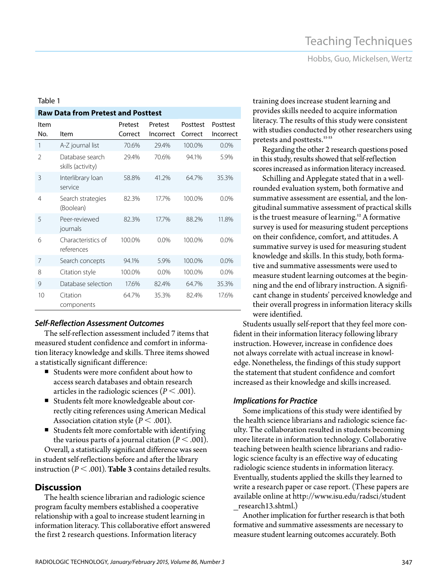Hobbs, Guo, Mickelsen, Wertz

#### Table 1

2 Database search skills (activity)

3 Interlibrary loan service

4 Search strategies (Boolean)

5 Peer-reviewed journals

6 Characteristics of references

components

10 Citation

Item No. Item

| <b>Self-Reflection Assessment Outcomes</b> |  |
|--------------------------------------------|--|

**Raw Data from Pretest and Posttest**

Pretest Correct

1 A-Z journal list 70.6% 29.4% 100.0% 0.0%

7 Search concepts 94.1% 5.9% 100.0% 0.0% 8 Citation style 100.0% 0.0% 100.0% 0.0% 9 Database selection 17.6% 82.4% 64.7% 35.3%

Pretest Incorrect

Posttest Correct

29.4% 70.6% 94.1% 5.9%

58.8% 41.2% 64.7% 35.3%

82.3% 17.7% 100.0% 0.0%

82.3% 17.7% 88.2% 11.8%

100.0% 0.0% 100.0% 0.0%

64.7% 35.3% 82.4% 17.6%

Posttest Incorrect

The self-reflection assessment included 7 items that measured student confidence and comfort in information literacy knowledge and skills. Three items showed a statistically significant difference:

- Students were more confident about how to access search databases and obtain research articles in the radiologic sciences ( $P < .001$ ).
- Students felt more knowledgeable about correctly citing references using American Medical Association citation style ( $P < .001$ ).
- Students felt more comfortable with identifying the various parts of a journal citation ( $P < .001$ ).

Overall, a statistically significant difference was seen in student self-reflections before and after the library instruction ( $P < .001$ ). **Table 3** contains detailed results.

#### **Discussion**

The health science librarian and radiologic science program faculty members established a cooperative relationship with a goal to increase student learning in information literacy. This collaborative effort answered the first 2 research questions. Information literacy

training does increase student learning and provides skills needed to acquire information literacy. The results of this study were consistent with studies conducted by other researchers using pretests and posttests.<sup>11-15</sup>

Regarding the other 2 research questions posed in this study, results showed that self-reflection scores increased as information literacy increased.

Schilling and Applegate stated that in a wellrounded evaluation system, both formative and summative assessment are essential, and the longitudinal summative assessment of practical skills is the truest measure of learning.<sup>12</sup> A formative survey is used for measuring student perceptions on their confidence, comfort, and attitudes. A summative survey is used for measuring student knowledge and skills. In this study, both formative and summative assessments were used to measure student learning outcomes at the beginning and the end of library instruction. A significant change in students' perceived knowledge and their overall progress in information literacy skills were identified.

Students usually self-report that they feel more confident in their information literacy following library instruction. However, increase in confidence does not always correlate with actual increase in knowledge. Nonetheless, the findings of this study support the statement that student confidence and comfort increased as their knowledge and skills increased.

#### *Implications for Practice*

Some implications of this study were identified by the health science librarians and radiologic science faculty. The collaboration resulted in students becoming more literate in information technology. Collaborative teaching between health science librarians and radiologic science faculty is an effective way of educating radiologic science students in information literacy. Eventually, students applied the skills they learned to write a research paper or case report. (These papers are available online at [http://www.isu.edu/radsci/student](http://www.isu.edu/radsci/student_research13.shtml) [\\_research13.shtml.\)](http://www.isu.edu/radsci/student_research13.shtml)

Another implication for further research is that both formative and summative assessments are necessary to measure student learning outcomes accurately. Both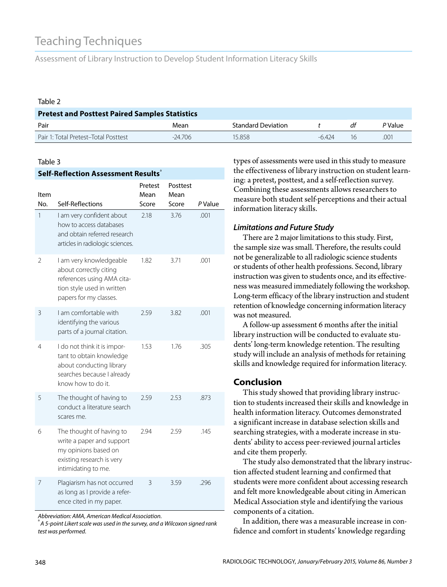# Teaching Techniques

Assessment of Library Instruction to Develop Student Information Literacy Skills

#### Table 2

| <b>Pretest and Posttest Paired Samples Statistics</b> |          |                           |       |    |         |  |  |  |
|-------------------------------------------------------|----------|---------------------------|-------|----|---------|--|--|--|
| Pair                                                  | Mean     | <b>Standard Deviation</b> |       |    | P Value |  |  |  |
| Pair 1: Total Pretest-Total Posttest                  | $-24706$ | 15 858                    | -6424 | 16 | .001    |  |  |  |

#### Table 3

| Self-Reflection Assessment Results <sup>®</sup> |                                                                                                                                         |                 |                  |         |  |  |  |
|-------------------------------------------------|-----------------------------------------------------------------------------------------------------------------------------------------|-----------------|------------------|---------|--|--|--|
| ltem                                            |                                                                                                                                         | Pretest<br>Mean | Posttest<br>Mean |         |  |  |  |
| No.                                             | Self-Reflections                                                                                                                        | Score           | Score            | P Value |  |  |  |
| 1                                               | I am very confident about<br>how to access databases<br>and obtain referred research<br>articles in radiologic sciences.                | 2.18            | 3.76             | .001    |  |  |  |
| 2                                               | I am very knowledgeable<br>about correctly citing<br>references using AMA cita-<br>tion style used in written<br>papers for my classes. | 1.82            | 3.71             | .001    |  |  |  |
| 3                                               | I am comfortable with<br>identifying the various<br>parts of a journal citation.                                                        | 2.59            | 3.82             | .001    |  |  |  |
| 4                                               | I do not think it is impor-<br>tant to obtain knowledge<br>about conducting library<br>searches because I already<br>know how to do it. | 1.53            | 1.76             | .305    |  |  |  |
| 5                                               | The thought of having to<br>conduct a literature search<br>scares me.                                                                   | 2.59            | 2.53             | .873    |  |  |  |
| 6                                               | The thought of having to<br>write a paper and support<br>my opinions based on<br>existing research is very<br>intimidating to me.       | 2.94            | 2.59             | .145    |  |  |  |
| 7                                               | Plagiarism has not occurred<br>as long as I provide a refer-<br>ence cited in my paper.                                                 | 3               | 3.59             | .296    |  |  |  |

*Abbreviation: AMA, American Medical Association.* a

*A 5-point Likert scale was used in the survey, and a Wilcoxon signed rank test was performed.*

types of assessments were used in this study to measure the effectiveness of library instruction on student learning: a pretest, posttest, and a self-reflection survey. Combining these assessments allows researchers to measure both student self-perceptions and their actual information literacy skills.

#### *Limitations and Future Study*

There are 2 major limitations to this study. First, the sample size was small. Therefore, the results could not be generalizable to all radiologic science students or students of other health professions. Second, library instruction was given to students once, and its effectiveness was measured immediately following the workshop. Long-term efficacy of the library instruction and student retention of knowledge concerning information literacy was not measured.

A follow-up assessment 6 months after the initial library instruction will be conducted to evaluate students' long-term knowledge retention. The resulting study will include an analysis of methods for retaining skills and knowledge required for information literacy.

### **Conclusion**

This study showed that providing library instruction to students increased their skills and knowledge in health information literacy. Outcomes demonstrated a significant increase in database selection skills and searching strategies, with a moderate increase in students' ability to access peer-reviewed journal articles and cite them properly.

The study also demonstrated that the library instruction affected student learning and confirmed that students were more confident about accessing research and felt more knowledgeable about citing in American Medical Association style and identifying the various components of a citation.

In addition, there was a measurable increase in confidence and comfort in students' knowledge regarding